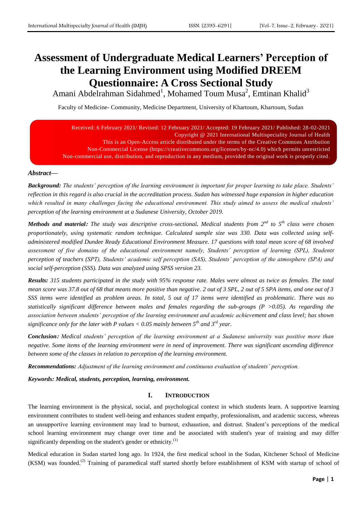# **Assessment of Undergraduate Medical Learners' Perception of the Learning Environment using Modified DREEM Questionnaire: A Cross Sectional Study**

Amani Abdelrahman Sidahmed<sup>1</sup>, Mohamed Toum Musa<sup>2</sup>, Emtinan Khalid<sup>3</sup>

Faculty of Medicine- Community, Medicine Department, University of Khartoum, Khartoum, Sudan

| Received: 6 February 2021/ Revised: 12 February 2021/ Accepted: 19 February 2021/ Published: 28-02-2021         |
|-----------------------------------------------------------------------------------------------------------------|
| Copyright @ 2021 International Multispeciality Journal of Health                                                |
| This is an Open-Access article distributed under the terms of the Creative Commons Attribution                  |
| Non-Commercial License (https://creativecommons.org/licenses/by-nc/4.0) which permits unrestricted              |
| Non-commercial use, distribution, and reproduction in any medium, provided the original work is properly cited. |

# *Abstract—*

*Background: The students' perception of the learning environment is important for proper learning to take place. Students' reflection in this regard is also crucial in the accreditation process. Sudan has witnessed huge expansion in higher education which resulted in many challenges facing the educational environment. This study aimed to assess the medical students' perception of the learning environment at a Sudanese University, October 2019.*

*Methods and material***:** *The study was descriptive cross-sectional. Medical students from 2nd to 5th class were chosen proportionately, using systematic random technique. Calculated sample size was 330. Data was collected using selfadministered modified Dundee Ready Educational Environment Measure. 17 questions with total mean score of 68 involved*  assessment of five domains of the educational environment namely, Students' perception of learning (SPL), Students *perception of teachers (SPT), Students' academic self perception (SAS), Students' perception of the atmosphere (SPA) and social self-perception (SSS). Data was analyzed using SPSS version 23.*

*Results: 315 students participated in the study with 95% response rate. Males were almost as twice as females. The total mean score was 37.8 out of 68 that means more positive than negative. 2 out of 3 SPL, 2 out of 5 SPA items, and one out of 3 SSS items were identified as problem areas. In total, 5 out of 17 items were identified as problematic. There was no statistically significant difference between males and females regarding the sub-groups (P >0.05). As regarding the association between students' perception of the learning environment and academic achievement and class level; has shown significance only for the later with P values < 0.05 mainly between 5th and 3rd year.* 

*Conclusion***:** *Medical students' perception of the learning environment at a Sudanese university was positive more than negative. Some items of the learning environment were in need of improvement. There was significant ascending difference between some of the classes in relation to perception of the learning environment.*

*Recommendations: Adjustment of the learning environment and continuous evaluation of students' perception.* 

*Keywords: Medical, students, perception, learning, environment.*

### **I. INTRODUCTION**

The learning environment is the physical, social, and psychological context in which students learn. A supportive learning environment contributes to student well-being and enhances student empathy, professionalism, and academic success, whereas an unsupportive learning environment may lead to burnout, exhaustion, and distrust. Student's perceptions of the medical school learning environment may change over time and be associated with student's year of training and may differ significantly depending on the student's gender or ethnicity. $<sup>(1)</sup>$  $<sup>(1)</sup>$  $<sup>(1)</sup>$ </sup>

Medical education in Sudan started long ago. In 1924, the first medical school in the Sudan, Kitchener School of Medicine  $(KSM)$  was founded.<sup>[\(2\)](#page-8-1)</sup> Training of paramedical staff started shortly before establishment of KSM with startup of school of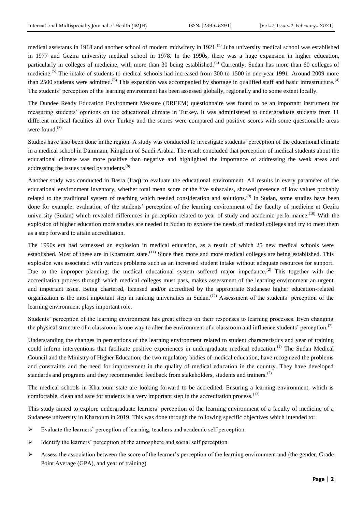medical assistants in 1918 and another school of modern midwifery in 1921.<sup>[\(3\)](#page-9-0)</sup> Juba university medical school was established in 1977 and Gezira university medical school in 1978. In the 1990s, there was a huge expansion in higher education, particularly in colleges of medicine, with more than 30 being established.<sup>[\(4\)](#page-9-1)</sup> Currently, Sudan has more than 60 colleges of medicine.<sup>[\(5\)](#page-9-2)</sup> The intake of students to medical schools had increased from 300 to 1500 in one year 1991. Around 2009 more than 2500 students were admitted.<sup>[\(6\)](#page-9-3)</sup> This expansion was accompanied by shortage in qualified staff and basic infrastructure.<sup>[\(4\)](#page-9-1)</sup> The students' perception of the learning environment has been assessed globally, regionally and to some extent locally.

The Dundee Ready Education Environment Measure (DREEM) questionnaire was found to be an important instrument for measuring students' opinions on the educational climate in Turkey. It was administered to undergraduate students from 11 different medical faculties all over Turkey and the scores were compared and positive scores with some questionable areas were found.<sup>[\(7\)](#page-9-4)</sup>

Studies have also been done in the region. A study was conducted to investigate students' perception of the educational climate in a medical school in Dammam, Kingdom of Saudi Arabia. The result concluded that perception of medical students about the educational climate was more positive than negative and highlighted the importance of addressing the weak areas and addressing the issues raised by students.<sup>[\(8\)](#page-9-5)</sup>

Another study was conducted in Basra (Iraq) to evaluate the educational environment. All results in every parameter of the educational environment inventory, whether total mean score or the five subscales, showed presence of low values probably related to the traditional system of teaching which needed consideration and solutions.<sup>[\(9\)](#page-9-6)</sup> In Sudan, some studies have been done for example: evaluation of the students' perception of the learning environment of the faculty of medicine at Gezira university (Sudan) which revealed differences in perception related to year of study and academic performance.<sup>(10)</sup> With the explosion of higher education more studies are needed in Sudan to explore the needs of medical colleges and try to meet them as a step forward to attain accreditation.

The 1990s era had witnessed an explosion in medical education, as a result of which 25 new medical schools were established. Most of these are in Khartoum state.<sup>[\(11\)](#page-9-7)</sup> Since then more and more medical colleges are being established. This explosion was associated with various problems such as an increased student intake without adequate resources for support. Due to the improper planning, the medical educational system suffered major impedance.<sup>[\(2\)](#page-8-1)</sup> This together with the accreditation process through which medical colleges must pass, makes assessment of the learning environment an urgent and important issue. Being chartered, licensed and/or accredited by the appropriate Sudanese higher education-related organization is the most important step in ranking universities in Sudan.<sup>[\(12\)](#page-9-8)</sup> Assessment of the students' perception of the learning environment plays important role.

Students' perception of the learning environment has great effects on their responses to learning processes. Even changing the physical structure of a classroom is one way to alter the environment of a classroom and influence students' perception.<sup>[\(7\)](#page-9-4)</sup>

Understanding the changes in perceptions of the learning environment related to student characteristics and year of training could inform interventions that facilitate positive experiences in undergraduate medical education.<sup>[\(1\)](#page-8-0)</sup> The Sudan Medical Council and the Ministry of Higher Education; the two regulatory bodies of medical education, have recognized the problems and constraints and the need for improvement in the quality of medical education in the country. They have developed standards and programs and they recommended feedback from stakeholders, students and trainers.<sup>[\(2\)](#page-8-1)</sup>

The medical schools in Khartoum state are looking forward to be accredited. Ensuring a learning environment, which is comfortable, clean and safe for students is a very important step in the accreditation process.<sup>(13)</sup>

This study aimed to explore undergraduate learners' perception of the learning environment of a faculty of medicine of a Sudanese university in Khartoum in 2019. This was done through the following specific objectives which intended to:

- $\triangleright$  Evaluate the learners' perception of learning, teachers and academic self perception.
- $\triangleright$  Identify the learners' perception of the atmosphere and social self perception.
- $\triangleright$  Assess the association between the score of the learner's perception of the learning environment and (the gender, Grade Point Average (GPA), and year of training).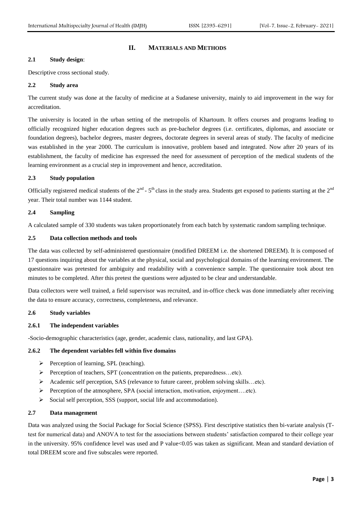# **II. MATERIALS AND METHODS**

# **2.1 Study design**:

Descriptive cross sectional study.

# **2.2 Study area**

The current study was done at the faculty of medicine at a Sudanese university, mainly to aid improvement in the way for accreditation.

The university is located in the urban setting of the metropolis of Khartoum. It offers courses and programs leading to officially recognized higher education degrees such as pre-bachelor degrees (i.e. certificates, diplomas, and associate or foundation degrees), bachelor degrees, master degrees, doctorate degrees in several areas of study. The faculty of medicine was established in the year 2000. The curriculum is innovative, problem based and integrated. Now after 20 years of its establishment, the faculty of medicine has expressed the need for assessment of perception of the medical students of the learning environment as a crucial step in improvement and hence, accreditation.

# **2.3 Study population**

Officially registered medical students of the  $2^{nd}$  -  $5^{th}$  class in the study area. Students get exposed to patients starting at the  $2^{nd}$ year. Their total number was 1144 student.

### **2.4 Sampling**

A calculated sample of 330 students was taken proportionately from each batch by systematic random sampling technique.

# **2.5 Data collection methods and tools**

The data was collected by self-administered questionnaire (modified DREEM i.e. the shortened DREEM). It is composed of 17 questions inquiring about the variables at the physical, social and psychological domains of the learning environment. The questionnaire was pretested for ambiguity and readability with a convenience sample. The questionnaire took about ten minutes to be completed. After this pretest the questions were adjusted to be clear and understandable.

Data collectors were well trained, a field supervisor was recruited, and in-office check was done immediately after receiving the data to ensure accuracy, correctness, completeness, and relevance.

## **2.6 Study variables**

## **2.6.1 The independent variables**

-Socio-demographic characteristics (age, gender, academic class, nationality, and last GPA).

### **2.6.2 The dependent variables fell within five domains**

- $\triangleright$  Perception of learning, SPL (teaching).
- Perception of teachers, SPT (concentration on the patients, preparedness…etc).
- Academic self perception, SAS (relevance to future career, problem solving skills…etc).
- Perception of the atmosphere, SPA (social interaction, motivation, enjoyment....etc).
- $\triangleright$  Social self perception, SSS (support, social life and accommodation).

### **2.7 Data management**

Data was analyzed using the Social Package for Social Science (SPSS). First descriptive statistics then bi-variate analysis (Ttest for numerical data) and ANOVA to test for the associations between students' satisfaction compared to their college year in the university. 95% confidence level was used and P value<0.05 was taken as significant. Mean and standard deviation of total DREEM score and five subscales were reported.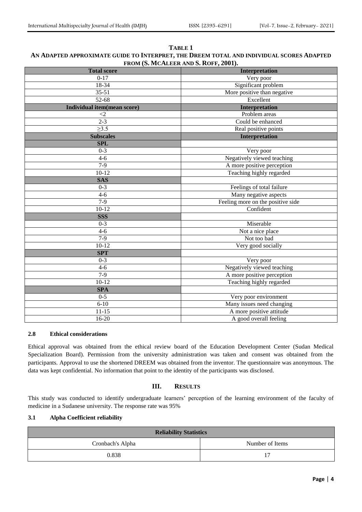| <b>Total score</b>                         | Interpretation              |  |  |
|--------------------------------------------|-----------------------------|--|--|
| $0-17$                                     | Very poor                   |  |  |
| 18-34                                      | Significant problem         |  |  |
| $35 - 51$                                  | More positive than negative |  |  |
| 52-68                                      | Excellent                   |  |  |
| Individual item(mean score)                | Interpretation              |  |  |
| $\leq$ 2                                   | Problem areas               |  |  |
| $2 - 3$                                    | Could be enhanced           |  |  |
| $\overline{\geq}3.5$                       | Real positive points        |  |  |
| <b>Subscales</b>                           | Interpretation              |  |  |
| <b>SPL</b>                                 |                             |  |  |
| $0 - 3$                                    | Very poor                   |  |  |
| $4 - 6$                                    | Negatively viewed teaching  |  |  |
| $7-9$                                      | A more positive perception  |  |  |
| $10 - 12$                                  | Teaching highly regarded    |  |  |
| <b>SAS</b>                                 |                             |  |  |
| $0 - 3$                                    | Feelings of total failure   |  |  |
| $4 - 6$                                    | Many negative aspects       |  |  |
| Feeling more on the positive side<br>$7-9$ |                             |  |  |
| $10 - 12$                                  | Confident                   |  |  |
| <b>SSS</b>                                 |                             |  |  |
| $0 - 3$                                    | Miserable                   |  |  |
| $\overline{4-6}$                           | Not a nice place            |  |  |
| $7-9$                                      | Not too bad                 |  |  |
| $10 - 12$                                  | Very good socially          |  |  |
| <b>SPT</b>                                 |                             |  |  |
| $0-3$                                      | Very poor                   |  |  |
| $4 - 6$                                    | Negatively viewed teaching  |  |  |
| $7-9$                                      | A more positive perception  |  |  |
| $10 - 12$                                  | Teaching highly regarded    |  |  |
| <b>SPA</b>                                 |                             |  |  |
| $0 - 5$                                    | Very poor environment       |  |  |
| $6 - 10$                                   | Many issues need changing   |  |  |
| $11 - 15$                                  | A more positive attitude    |  |  |
| $16 - 20$                                  | A good overall feeling      |  |  |

# **TABLE 1 AN ADAPTED APPROXIMATE GUIDE TO INTERPRET, THE DREEM TOTAL AND INDIVIDUAL SCORES ADAPTED FROM (S. MCALEER AND S. ROFF, 2001).**

#### **2.8 Ethical considerations**

Ethical approval was obtained from the ethical review board of the Education Development Center (Sudan Medical Specialization Board). Permission from the university administration was taken and consent was obtained from the participants. Approval to use the shortened DREEM was obtained from the inventor. The questionnaire was anonymous. The data was kept confidential. No information that point to the identity of the participants was disclosed.

# **III. RESULTS**

This study was conducted to identify undergraduate learners' perception of the learning environment of the faculty of medicine in a Sudanese university. The response rate was 95%

# **3.1 Alpha Coefficient reliability**

| <b>Reliability Statistics</b>       |    |  |  |  |  |
|-------------------------------------|----|--|--|--|--|
| Number of Items<br>Cronbach's Alpha |    |  |  |  |  |
| 0.838                               | 17 |  |  |  |  |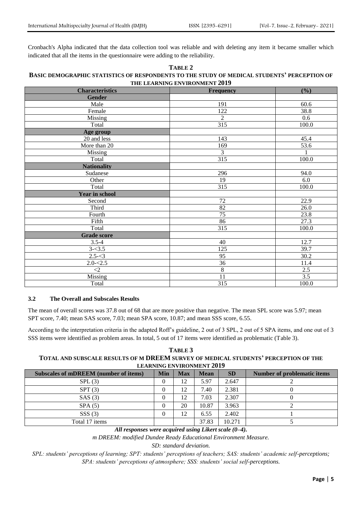Cronbach's Alpha indicated that the data collection tool was reliable and with deleting any item it became smaller which indicated that all the items in the questionnaire were adding to the reliability.

# **TABLE 2 BASIC DEMOGRAPHIC STATISTICS OF RESPONDENTS TO THE STUDY OF MEDICAL STUDENTS' PERCEPTION OF THE LEARNING ENVIRONMENT 2019**

| <b>Characteristics</b> | <b>Frequency</b> | (%)              |
|------------------------|------------------|------------------|
| <b>Gender</b>          |                  |                  |
| Male                   | 191              | 60.6             |
| Female                 | 122              | 38.8             |
| Missing                | $\overline{2}$   | 0.6              |
| Total                  | 315              | 100.0            |
| Age group              |                  |                  |
| 20 and less            | 143              | 45.4             |
| More than 20           | 169              | 53.6             |
| Missing                | 3                | $\mathbf{1}$     |
| Total                  | 315              | 100.0            |
| <b>Nationality</b>     |                  |                  |
| Sudanese               | 296              | 94.0             |
| Other                  | 19               | 6.0              |
| Total                  | 315              | 100.0            |
| <b>Year in school</b>  |                  |                  |
| Second                 | 72               | 22.9             |
| Third                  | 82               | 26.0             |
| Fourth                 | $\overline{75}$  | 23.8             |
| Fifth                  | 86               | 27.3             |
| Total                  | 315              | 100.0            |
| <b>Grade score</b>     |                  |                  |
| $3.5 - 4$              | 40               | 12.7             |
| $3 - 3.5$              | 125              | 39.7             |
| $2.5 - 3$              | 95               | 30.2             |
| $2.0 - 2.5$            | 36               | 11.4             |
| $\leq$ 2               | $\overline{8}$   | $2.5\,$          |
| Missing                | 11               | $\overline{3.5}$ |
| Total                  | 315              | 100.0            |

#### **3.2 The Overall and Subscales Results**

The mean of overall scores was 37.8 out of 68 that are more positive than negative. The mean SPL score was 5.97; mean SPT score, 7.40; mean SAS score, 7.03; mean SPA score, 10.87; and mean SSS score, 6.55.

According to the interpretation criteria in the adapted Roff's guideline, 2 out of 3 SPL, 2 out of 5 SPA items, and one out of 3 SSS items were identified as problem areas. In total, 5 out of 17 items were identified as problematic (Table 3).

| TABLE 3                                                                             |
|-------------------------------------------------------------------------------------|
| TOTAL AND SUBSCALE RESULTS OF M DREEM SURVEY OF MEDICAL STUDENTS' PERCEPTION OF THE |
| LEARNING ENVIRONMENT 2019                                                           |

| Subscales of mDREEM (number of items) | Min | <b>Max</b> | <b>Mean</b> | <b>SD</b> | <b>Number of problematic items</b> |
|---------------------------------------|-----|------------|-------------|-----------|------------------------------------|
| SPL(3)                                |     | 12         | 5.97        | 2.647     |                                    |
| SPT(3)                                |     | 12         | 7.40        | 2.381     |                                    |
| SAS(3)                                |     | 12         | 7.03        | 2.307     |                                    |
| SPA(5)                                |     | 20         | 10.87       | 3.963     |                                    |
| SSS(3)                                |     | 12         | 6.55        | 2.402     |                                    |
| Total 17 items                        |     |            | 37.83       | 10.271    |                                    |

*All responses were acquired using Likert scale (0–4).*

*m DREEM: modified Dundee Ready Educational Environment Measure.*

*SD: standard deviation.*

*SPL: students' perceptions of learning; SPT: students' perceptions of teachers; SAS: students' academic self-perceptions; SPA: students' perceptions of atmosphere; SSS: students' social self-perceptions.*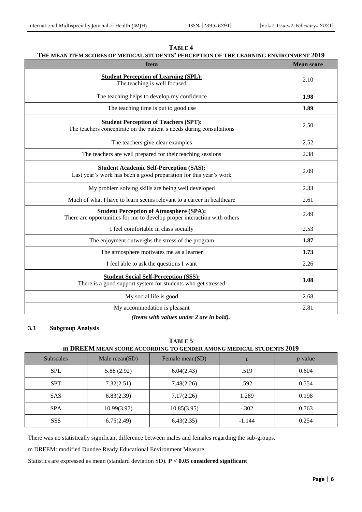| TABLE 4                                                                               |
|---------------------------------------------------------------------------------------|
| THE MEAN ITEM SCORES OF MEDICAL STUDENTS' PERCEPTION OF THE LEARNING ENVIRONMENT 2019 |

| <b>Item</b>                                                                                                                | <b>Mean score</b> |
|----------------------------------------------------------------------------------------------------------------------------|-------------------|
| <b>Student Perception of Learning (SPL):</b><br>The teaching is well focused                                               | 2.10              |
| The teaching helps to develop my confidence                                                                                | 1.98              |
| The teaching time is put to good use                                                                                       | 1.89              |
| <b>Student Perception of Teachers (SPT):</b><br>The teachers concentrate on the patient's needs during consultations       | 2.50              |
| The teachers give clear examples                                                                                           | 2.52              |
| The teachers are well prepared for their teaching sessions                                                                 | 2.38              |
| <b>Student Academic Self-Perception (SAS):</b><br>Last year's work has been a good preparation for this year's work        | 2.09              |
| My problem solving skills are being well developed                                                                         | 2.33              |
| Much of what I have to learn seems relevant to a career in healthcare                                                      | 2.61              |
| <b>Student Perception of Atmosphere (SPA):</b><br>There are opportunities for me to develop proper interaction with others | 2.49              |
| I feel comfortable in class socially                                                                                       | 2.53              |
| The enjoyment outweighs the stress of the program                                                                          | 1.87              |
| The atmosphere motivates me as a learner                                                                                   | 1.73              |
| I feel able to ask the questions I want                                                                                    | 2.26              |
| <b>Student Social Self-Perception (SSS):</b><br>There is a good support system for students who get stressed               | 1.08              |
| My social life is good                                                                                                     | 2.68              |
| My accommodation is pleasant                                                                                               | 2.81              |

*(Items with values under 2 are in bold).*

# **3.3 Subgroup Analysis**

| 1711112<br>m DREEM MEAN SCORE ACCORDING TO GENDER AMONG MEDICAL STUDENTS 2019 |            |            |       |       |  |  |
|-------------------------------------------------------------------------------|------------|------------|-------|-------|--|--|
| Male mean $(SD)$<br>Female mean(SD)<br>Subscales<br><i>p</i> value            |            |            |       |       |  |  |
| <b>SPL</b>                                                                    | 5.88(2.92) | 6.04(2.43) | .519  | 0.604 |  |  |
| <b>SPT</b>                                                                    | 7.32(2.51) | 7.48(2.26) | .592  | 0.554 |  |  |
| <b>SAS</b>                                                                    | 6.83(2.39) | 7.17(2.26) | 1.289 | 0.198 |  |  |

SPA 10.99(3.97) 10.85(3.95) -.302 0.763

SSS 6.75(2.49) 6.43(2.35) -1.144 0.254

# **TABLE 5**

There was no statistically significant difference between males and females regarding the sub-groups.

m DREEM: modified Dundee Ready Educational Environment Measure.

Statistics are expressed as mean (standard deviation SD). **P < 0.05 considered significant**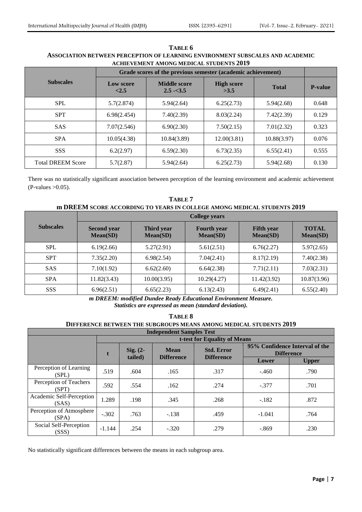| <b>ACHIEVEMENT AMONG MEDICAL STUDENTS 2019</b> |                                                              |                                    |                           |              |                |  |  |
|------------------------------------------------|--------------------------------------------------------------|------------------------------------|---------------------------|--------------|----------------|--|--|
|                                                | Grade scores of the previous semester (academic achievement) |                                    |                           |              |                |  |  |
| <b>Subscales</b>                               | Low score<br>${<}2.5$                                        | <b>Middle score</b><br>$2.5 - 3.5$ | <b>High score</b><br>>3.5 | <b>Total</b> | <b>P-value</b> |  |  |
| <b>SPL</b>                                     | 5.7(2.874)                                                   | 5.94(2.64)                         | 6.25(2.73)                | 5.94(2.68)   | 0.648          |  |  |
| <b>SPT</b>                                     | 6.98(2.454)                                                  | 7.40(2.39)                         | 8.03(2.24)                | 7.42(2.39)   | 0.129          |  |  |
| <b>SAS</b>                                     | 7.07(2.546)                                                  | 6.90(2.30)                         | 7.50(2.15)                | 7.01(2.32)   | 0.323          |  |  |
| <b>SPA</b>                                     | 10.05(4.38)                                                  | 10.84(3.89)                        | 12.00(3.81)               | 10.88(3.97)  | 0.076          |  |  |
| <b>SSS</b>                                     | 6.2(2.97)                                                    | 6.59(2.30)                         | 6.73(2.35)                | 6.55(2.41)   | 0.555          |  |  |
| <b>Total DREEM Score</b>                       | 5.7(2.87)                                                    | 5.94(2.64)                         | 6.25(2.73)                | 5.94(2.68)   | 0.130          |  |  |

# **TABLE 6 ASSOCIATION BETWEEN PERCEPTION OF LEARNING ENVIRONMENT SUBSCALES AND ACADEMIC**

There was no statistically significant association between perception of the learning environment and academic achievement  $(P-values >0.05)$ .

# **TABLE 7 m DREEM SCORE ACCORDING TO YEARS IN COLLEGE AMONG MEDICAL STUDENTS 2019**

|                  | <b>College years</b>           |                        |                                |                               |                          |  |  |  |
|------------------|--------------------------------|------------------------|--------------------------------|-------------------------------|--------------------------|--|--|--|
| <b>Subscales</b> | <b>Second year</b><br>Mean(SD) | Third year<br>Mean(SD) | <b>Fourth</b> year<br>Mean(SD) | <b>Fifth</b> year<br>Mean(SD) | <b>TOTAL</b><br>Mean(SD) |  |  |  |
| <b>SPL</b>       | 6.19(2.66)                     | 5.27(2.91)             | 5.61(2.51)                     | 6.76(2.27)                    | 5.97(2.65)               |  |  |  |
| <b>SPT</b>       | 7.35(2.20)                     | 6.98(2.54)             | 7.04(2.41)                     | 8.17(2.19)                    | 7.40(2.38)               |  |  |  |
| <b>SAS</b>       | 7.10(1.92)                     | 6.62(2.60)             | 6.64(2.38)                     | 7.71(2.11)                    | 7.03(2.31)               |  |  |  |
| <b>SPA</b>       | 11.82(3.43)                    | 10.00(3.95)            | 10.29(4.27)                    | 11.42(3.92)                   | 10.87(3.96)              |  |  |  |
| <b>SSS</b>       | 6.96(2.51)                     | 6.65(2.23)             | 6.13(2.43)                     | 6.49(2.41)                    | 6.55(2.40)               |  |  |  |

*m DREEM: modified Dundee Ready Educational Environment Measure. Statistics are expressed as mean (standard deviation).*

| TABLE 8                                                                   |                              |                                                                                                        |                   |                   |          |              |  |  |  |
|---------------------------------------------------------------------------|------------------------------|--------------------------------------------------------------------------------------------------------|-------------------|-------------------|----------|--------------|--|--|--|
| <b>DIFFERENCE BETWEEN THE SUBGROUPS MEANS AMONG MEDICAL STUDENTS 2019</b> |                              |                                                                                                        |                   |                   |          |              |  |  |  |
| <b>Independent Samples Test</b>                                           |                              |                                                                                                        |                   |                   |          |              |  |  |  |
|                                                                           | t-test for Equality of Means |                                                                                                        |                   |                   |          |              |  |  |  |
|                                                                           |                              | 95% Confidence Interval of the<br><b>Std. Error</b><br><b>Mean</b><br>Sig. $(2 -$<br><b>Difference</b> |                   |                   |          |              |  |  |  |
|                                                                           |                              | tailed)                                                                                                | <b>Difference</b> | <b>Difference</b> | Lower    | <b>Upper</b> |  |  |  |
| Perception of Learning<br>(SPL)                                           | .519                         | .604                                                                                                   | .165              | .317              | $-.460$  | .790         |  |  |  |
| Perception of Teachers<br>(SPT)                                           | .592                         | .554                                                                                                   | .162              | .274              | $-.377$  | .701         |  |  |  |
| Academic Self-Perception<br>(SAS)                                         | 1.289                        | .198                                                                                                   | .345              | .268              | $-.182$  | .872         |  |  |  |
| Perception of Atmosphere<br>(SPA)                                         | $-.302$                      | .763                                                                                                   | $-.138$           | .459              | $-1.041$ | .764         |  |  |  |
| Social Self-Perception<br>(SSS)                                           | $-1.144$                     | .254                                                                                                   | $-.320$           | .279              | $-.869$  | .230         |  |  |  |

No statistically significant differences between the means in each subgroup area.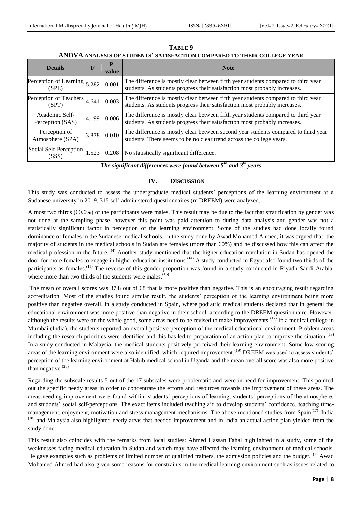| <b>Details</b>                          | F     | $P-$<br>value | <b>Note</b>                                                                                                                                                     |
|-----------------------------------------|-------|---------------|-----------------------------------------------------------------------------------------------------------------------------------------------------------------|
| Perception of Learning $5.282$<br>(SPL) |       | 0.001         | The difference is mostly clear between fifth year students compared to third year<br>students. As students progress their satisfaction most probably increases. |
| Perception of Teachers<br>(SPT)         | 4.641 | 0.003         | The difference is mostly clear between fifth year students compared to third year<br>students. As students progress their satisfaction most probably increases. |
| Academic Self-<br>Perception (SAS)      | 4.199 | 0.006         | The difference is mostly clear between fifth year students compared to third year<br>students. As students progress their satisfaction most probably increases. |
| Perception of<br>Atmosphere (SPA)       | 3.878 | 0.010         | The difference is mostly clear between second year students compared to third year<br>students. There seems to be no clear trend across the college years.      |
| Social Self-Perception<br>(SSS)         | 1.523 |               | 0.208   No statistically significant difference.<br>$-th$<br>- - <i>rd</i>                                                                                      |

**TABLE 9 ANOVA ANALYSIS OF STUDENTS' SATISFACTION COMPARED TO THEIR COLLEGE YEAR** 

*The significant differences were found between 5th and 3rd years*

# **IV. DISCUSSION**

This study was conducted to assess the undergraduate medical students' perceptions of the learning environment at a Sudanese university in 2019. 315 self-administered questionnaires (m DREEM) were analyzed.

Almost two thirds (60.6%) of the participants were males. This result may be due to the fact that stratification by gender was not done at the sampling phase, however this point was paid attention to during data analysis and gender was not a statistically significant factor in perception of the learning environment. Some of the studies had done locally found dominance of females in the Sudanese medical schools. In the study done by Awad Mohamed Ahmed, it was argued that; the majority of students in the medical schools in Sudan are females (more than 60%) and he discussed how this can affect the medical profession in the future. <sup>(4)</sup> Another study mentioned that the higher education revolution in Sudan has opened the door for more females to engage in higher education institutions.<sup> $(14)$ </sup> A study conducted in Egypt also found two thirds of the participants as females.<sup>(15)</sup> The reverse of this gender proportion was found in a study conducted in Riyadh Saudi Arabia, where more than two thirds of the students were males. $(16)$ 

The mean of overall scores was 37.8 out of 68 that is more positive than negative. This is an encouraging result regarding accreditation. Most of the studies found similar result, the students' perception of the learning environment being more positive than negative overall, in a study conducted in Spain, where podiatric medical students declared that in general the educational environment was more positive than negative in their school, according to the DREEM questionnaire. However, although the results were on the whole good, some areas need to be revised to make improvements.<sup>(17)</sup> In a medical college in Mumbai (India), the students reported an overall positive perception of the medical educational environment. Problem areas including the research priorities were identified and this has led to preparation of an action plan to improve the situation.<sup>(18)</sup> In a study conducted in Malaysia, the medical students positively perceived their learning environment. Some low-scoring areas of the learning environment were also identified, which required improvement.<sup>(19)</sup> DREEM was used to assess students' perception of the learning environment at Habib medical school in Uganda and the mean overall score was also more positive than negative. $(20)$ 

Regarding the subscale results 5 out of the 17 subscales were problematic and were in need for improvement. This pointed out the specific needy areas in order to concentrate the efforts and resources towards the improvement of these areas. The areas needing improvement were found within: students' perceptions of learning, students' perceptions of the atmosphere, and students' social self-perceptions. The exact items included teaching aid to develop students' confidence, teaching timemanagement, enjoyment, motivation and stress management mechanisms. The above mentioned studies from Spain $(17)$ , India <sup>(18)</sup> and Malaysia also highlighted needy areas that needed improvement and in India an actual action plan yielded from the study done.

This result also coincides with the remarks from local studies: Ahmed Hassan Fahal highlighted in a study, some of the weaknesses facing medical education in Sudan and which may have affected the learning environment of medical schools. He gave examples such as problems of limited number of qualified trainers, the admission policies and the budget.  $^{(2)}$  Awad Mohamed Ahmed had also given some reasons for constraints in the medical learning environment such as issues related to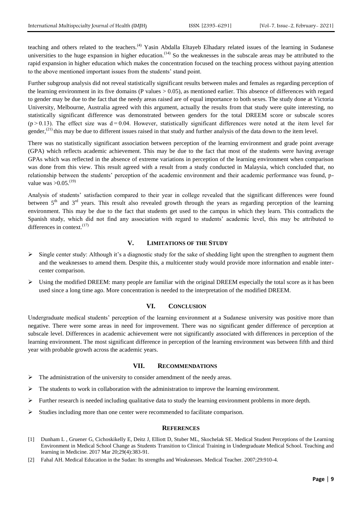teaching and others related to the teachers.<sup>(4)</sup> Yasin Abdalla Eltayeb Elhadary related issues of the learning in Sudanese universities to the huge expansion in higher education.<sup> $(14)$ </sup> So the weaknesses in the subscale areas may be attributed to the rapid expansion in higher education which makes the concentration focused on the teaching process without paying attention to the above mentioned important issues from the students' stand point.

Further subgroup analysis did not reveal statistically significant results between males and females as regarding perception of the learning environment in its five domains (P values  $> 0.05$ ), as mentioned earlier. This absence of differences with regard to gender may be due to the fact that the needy areas raised are of equal importance to both sexes. The study done at Victoria University, Melbourne, Australia agreed with this argument, actually the results from that study were quite interesting, no statistically significant difference was demonstrated between genders for the total DREEM score or subscale scores  $(p > 0.13)$ . The effect size was  $d = 0.04$ . However, statistically significant differences were noted at the item level for gender,<sup>(21)</sup> this may be due to different issues raised in that study and further analysis of the data down to the item level.

There was no statistically significant association between perception of the learning environment and grade point average (GPA) which reflects academic achievement. This may be due to the fact that most of the students were having average GPAs which was reflected in the absence of extreme variations in perception of the learning environment when comparison was done from this view. This result agreed with a result from a study conducted in Malaysia, which concluded that, no relationship between the students' perception of the academic environment and their academic performance was found, pvalue was  $> 0.05$ .<sup>(19)</sup>

Analysis of students' satisfaction compared to their year in college revealed that the significant differences were found between  $5<sup>th</sup>$  and  $3<sup>rd</sup>$  years. This result also revealed growth through the years as regarding perception of the learning environment. This may be due to the fact that students get used to the campus in which they learn. This contradicts the Spanish study, which did not find any association with regard to students' academic level, this may be attributed to differences in context. $(17)$ 

# **V. LIMITATIONS OF THE STUDY**

- $\triangleright$  Single center study: Although it's a diagnostic study for the sake of shedding light upon the strengthen to augment them and the weaknesses to amend them. Despite this, a multicenter study would provide more information and enable intercenter comparison.
- Using the modified DREEM: many people are familiar with the original DREEM especially the total score as it has been used since a long time ago. More concentration is needed to the interpretation of the modified DREEM.

#### **VI. CONCLUSION**

Undergraduate medical students' perception of the learning environment at a Sudanese university was positive more than negative. There were some areas in need for improvement. There was no significant gender difference of perception at subscale level. Differences in academic achievement were not significantly associated with differences in perception of the learning environment. The most significant difference in perception of the learning environment was between fifth and third year with probable growth across the academic years.

#### **VII. RECOMMENDATIONS**

- $\triangleright$  The administration of the university to consider amendment of the needy areas.
- $\triangleright$  The students to work in collaboration with the administration to improve the learning environment.
- $\triangleright$  Further research is needed including qualitative data to study the learning environment problems in more depth.
- Studies including more than one center were recommended to facilitate comparison.

#### **REFERENCES**

- <span id="page-8-0"></span>[1] Dunham L , Gruener G, Cichoskikelly E, Deitz J, Elliott D, Stuber ML, Skochelak SE. Medical Student Perceptions of the Learning Environment in Medical School Change as Students Transition to Clinical Training in Undergraduate Medical School. Teaching and learning in Medicine. 2017 Mar 20;29(4):383-91.
- <span id="page-8-1"></span>[2] Fahal AH. Medical Education in the Sudan: Its strengths and Weaknesses. Medical Teacher. 2007;29:910-4.